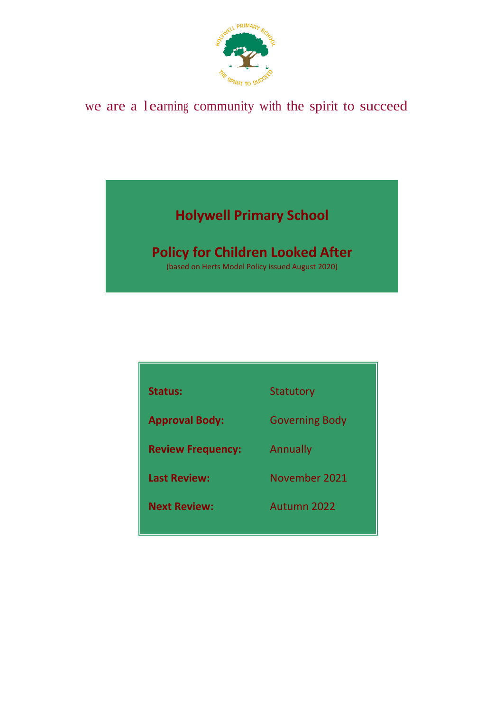

# we are a l earning community with the spirit to succeed

# **Holywell Primary School**

# **Policy for Children Looked After**

(based on Herts Model Policy issued August 2020)

| <b>Status:</b>           | Statutory             |
|--------------------------|-----------------------|
| <b>Approval Body:</b>    | <b>Governing Body</b> |
| <b>Review Frequency:</b> | Annually              |
| <b>Last Review:</b>      | November 2021         |
| <b>Next Review:</b>      | Autumn 2022           |
|                          |                       |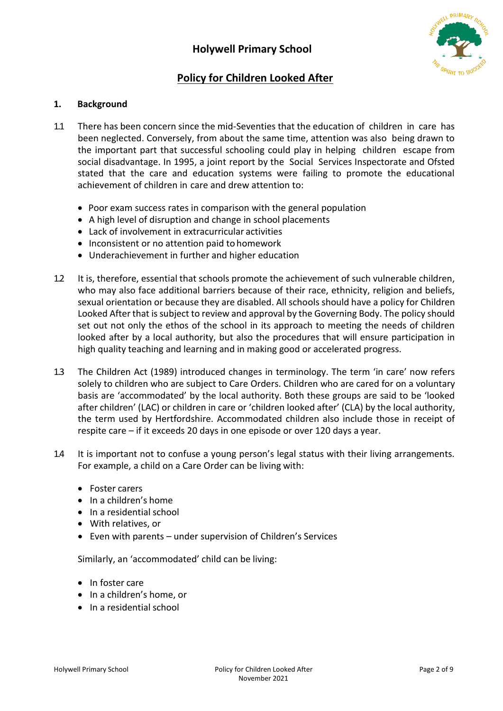

# **Policy for Children Looked After**

# **1. Background**

- 1.1 There has been concern since the mid-Seventies that the education of children in care has been neglected. Conversely, from about the same time, attention was also being drawn to the important part that successful schooling could play in helping children escape from social disadvantage. In 1995, a joint report by the Social Services Inspectorate and Ofsted stated that the care and education systems were failing to promote the educational achievement of children in care and drew attention to:
	- Poor exam success rates in comparison with the general population
	- A high level of disruption and change in school placements
	- Lack of involvement in extracurricular activities
	- Inconsistent or no attention paid to homework
	- Underachievement in further and higher education
- 1.2 It is, therefore, essential that schools promote the achievement of such vulnerable children, who may also face additional barriers because of their race, ethnicity, religion and beliefs, sexual orientation or because they are disabled. All schools should have a policy for Children Looked After that is subject to review and approval by the Governing Body. The policy should set out not only the ethos of the school in its approach to meeting the needs of children looked after by a local authority, but also the procedures that will ensure participation in high quality teaching and learning and in making good or accelerated progress.
- 1.3 The Children Act (1989) introduced changes in terminology. The term 'in care' now refers solely to children who are subject to Care Orders. Children who are cared for on a voluntary basis are 'accommodated' by the local authority. Both these groups are said to be 'looked after children' (LAC) or children in care or 'children looked after' (CLA) by the local authority, the term used by Hertfordshire. Accommodated children also include those in receipt of respite care – if it exceeds 20 days in one episode or over 120 days a year.
- 1.4 It is important not to confuse a young person's legal status with their living arrangements. For example, a child on a Care Order can be living with:
	- Foster carers
	- In a children's home
	- In a residential school
	- With relatives, or
	- Even with parents under supervision of Children's Services

Similarly, an 'accommodated' child can be living:

- In foster care
- In a children's home, or
- In a residential school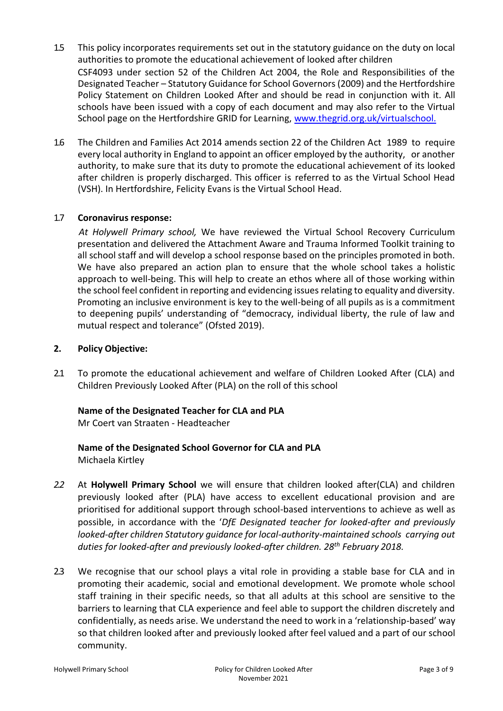- 1.5 This policy incorporates requirements set out in the statutory guidance on the duty on local authorities to promote the educational achievement of looked after children CSF4093 under section 52 of the Children Act 2004, the Role and Responsibilities of the Designated Teacher – Statutory Guidance for School Governors (2009) and the Hertfordshire Policy Statement on Children Looked After and should be read in conjunction with it. All schools have been issued with a copy of each document and may also refer to the Virtual School page on the Hertfordshire GRID for Learning, [www.thegrid.org.uk/virtualschool.](http://www.thegrid.org.uk/virtualschool)
- 1.6 The Children and Families Act 2014 amends section 22 of the Children Act 1989 to require every local authority in England to appoint an officer employed by the authority, or another authority, to make sure that its duty to promote the educational achievement of its looked after children is properly discharged. This officer is referred to as the Virtual School Head (VSH). In Hertfordshire, Felicity Evans is the Virtual School Head.

#### 1.7 **Coronavirus response:**

*At Holywell Primary school,* We have reviewed the Virtual School Recovery Curriculum presentation and delivered the Attachment Aware and Trauma Informed Toolkit training to all school staff and will develop a school response based on the principles promoted in both. We have also prepared an action plan to ensure that the whole school takes a holistic approach to well-being. This will help to create an ethos where all of those working within the school feel confident in reporting and evidencing issues relating to equality and diversity. Promoting an inclusive environment is key to the well-being of all pupils as is a commitment to deepening pupils' understanding of "democracy, individual liberty, the rule of law and mutual respect and tolerance" (Ofsted 2019).

#### **2. Policy Objective:**

2.1 To promote the educational achievement and welfare of Children Looked After (CLA) and Children Previously Looked After (PLA) on the roll of this school

# **Name of the Designated Teacher for CLA and PLA**

Mr Coert van Straaten - Headteacher

#### **Name of the Designated School Governor for CLA and PLA** Michaela Kirtley

- *2.2* At **Holywell Primary School** we will ensure that children looked after(CLA) and children previously looked after (PLA) have access to excellent educational provision and are prioritised for additional support through school-based interventions to achieve as well as possible, in accordance with the '*DfE Designated teacher for looked-after and previously looked-after children Statutory guidance for local-authority-maintained schools carrying out duties for looked-after and previously looked-after children. 28th February 2018.*
- 2.3 We recognise that our school plays a vital role in providing a stable base for CLA and in promoting their academic, social and emotional development. We promote whole school staff training in their specific needs, so that all adults at this school are sensitive to the barriers to learning that CLA experience and feel able to support the children discretely and confidentially, as needs arise. We understand the need to work in a 'relationship-based' way so that children looked after and previously looked after feel valued and a part of our school community.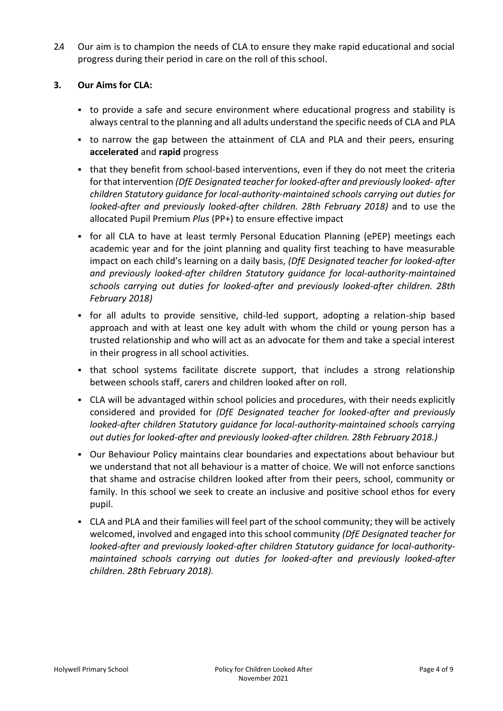2.4 Our aim is to champion the needs of CLA to ensure they make rapid educational and social progress during their period in care on the roll of this school.

# **3. Our Aims for CLA:**

- to provide a safe and secure environment where educational progress and stability is always central to the planning and all adults understand the specific needs of CLA and PLA
- to narrow the gap between the attainment of CLA and PLA and their peers, ensuring **accelerated** and **rapid** progress
- that they benefit from school-based interventions, even if they do not meet the criteria for that intervention *(DfE Designated teacher for looked-after and previously looked- after children Statutory guidance for local-authority-maintained schools carrying out duties for looked-after and previously looked-after children. 28th February 2018)* and to use the allocated Pupil Premium *Plus* (PP+) to ensure effective impact
- for all CLA to have at least termly Personal Education Planning (ePEP) meetings each academic year and for the joint planning and quality first teaching to have measurable impact on each child's learning on a daily basis, *(DfE Designated teacher for looked-after and previously looked-after children Statutory guidance for local-authority-maintained schools carrying out duties for looked-after and previously looked-after children. 28th February 2018)*
- for all adults to provide sensitive, child-led support, adopting a relation-ship based approach and with at least one key adult with whom the child or young person has a trusted relationship and who will act as an advocate for them and take a special interest in their progress in all school activities.
- that school systems facilitate discrete support, that includes a strong relationship between schools staff, carers and children looked after on roll.
- CLA will be advantaged within school policies and procedures, with their needs explicitly considered and provided for *(DfE Designated teacher for looked-after and previously looked-after children Statutory guidance for local-authority-maintained schools carrying out duties for looked-after and previously looked-after children. 28th February 2018.)*
- Our Behaviour Policy maintains clear boundaries and expectations about behaviour but we understand that not all behaviour is a matter of choice. We will not enforce sanctions that shame and ostracise children looked after from their peers, school, community or family. In this school we seek to create an inclusive and positive school ethos for every pupil.
- CLA and PLA and their families will feel part of the school community; they will be actively welcomed, involved and engaged into this school community *(DfE Designated teacher for looked-after and previously looked-after children Statutory guidance for local-authoritymaintained schools carrying out duties for looked-after and previously looked-after children. 28th February 2018).*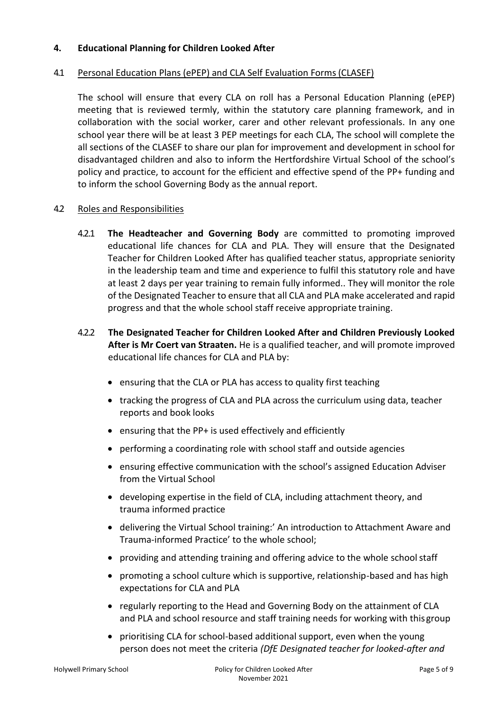#### **4. Educational Planning for Children Looked After**

#### 4.1 Personal Education Plans (ePEP) and CLA Self Evaluation Forms(CLASEF)

The school will ensure that every CLA on roll has a Personal Education Planning (ePEP) meeting that is reviewed termly, within the statutory care planning framework, and in collaboration with the social worker, carer and other relevant professionals. In any one school year there will be at least 3 PEP meetings for each CLA, The school will complete the all sections of the CLASEF to share our plan for improvement and development in school for disadvantaged children and also to inform the Hertfordshire Virtual School of the school's policy and practice, to account for the efficient and effective spend of the PP+ funding and to inform the school Governing Body as the annual report.

#### 4.2 Roles and Responsibilities

- 4.2.1 **The Headteacher and Governing Body** are committed to promoting improved educational life chances for CLA and PLA. They will ensure that the Designated Teacher for Children Looked After has qualified teacher status, appropriate seniority in the leadership team and time and experience to fulfil this statutory role and have at least 2 days per year training to remain fully informed.. They will monitor the role of the Designated Teacher to ensure that all CLA and PLA make accelerated and rapid progress and that the whole school staff receive appropriate training.
- 4.2.2 **The Designated Teacher for Children Looked After and Children Previously Looked After is Mr Coert van Straaten.** He is a qualified teacher, and will promote improved educational life chances for CLA and PLA by:
	- ensuring that the CLA or PLA has access to quality first teaching
	- tracking the progress of CLA and PLA across the curriculum using data, teacher reports and book looks
	- ensuring that the PP+ is used effectively and efficiently
	- performing a coordinating role with school staff and outside agencies
	- ensuring effective communication with the school's assigned Education Adviser from the Virtual School
	- developing expertise in the field of CLA, including attachment theory, and trauma informed practice
	- delivering the Virtual School training:' An introduction to Attachment Aware and Trauma-informed Practice' to the whole school;
	- providing and attending training and offering advice to the whole schoolstaff
	- promoting a school culture which is supportive, relationship-based and has high expectations for CLA and PLA
	- regularly reporting to the Head and Governing Body on the attainment of CLA and PLA and school resource and staff training needs for working with thisgroup
	- prioritising CLA for school-based additional support, even when the young person does not meet the criteria *(DfE Designated teacher for looked-after and*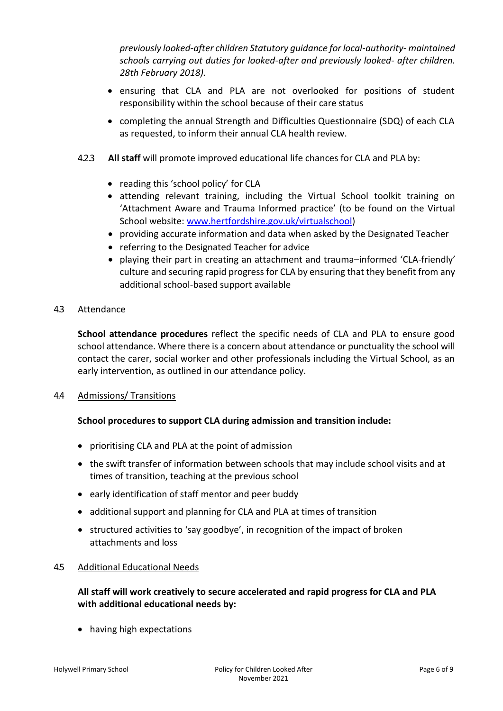*previously looked-after children Statutory guidance for local-authority- maintained schools carrying out duties for looked-after and previously looked- after children. 28th February 2018).*

- ensuring that CLA and PLA are not overlooked for positions of student responsibility within the school because of their care status
- completing the annual Strength and Difficulties Questionnaire (SDQ) of each CLA as requested, to inform their annual CLA health review.
- 4.2.3 **All staff** will promote improved educational life chances for CLA and PLA by:
	- reading this 'school policy' for CLA
	- attending relevant training, including the Virtual School toolkit training on 'Attachment Aware and Trauma Informed practice' (to be found on the Virtual School website: [www.hertfordshire.gov.uk/virtualschool\)](http://www.hertfordshire.gov.uk/virtualschool)
	- providing accurate information and data when asked by the Designated Teacher
	- referring to the Designated Teacher for advice
	- playing their part in creating an attachment and trauma–informed 'CLA-friendly' culture and securing rapid progress for CLA by ensuring that they benefit from any additional school-based support available

#### 4.3 Attendance

**School attendance procedures** reflect the specific needs of CLA and PLA to ensure good school attendance. Where there is a concern about attendance or punctuality the school will contact the carer, social worker and other professionals including the Virtual School, as an early intervention, as outlined in our attendance policy.

#### 4.4 Admissions/ Transitions

#### **School procedures to support CLA during admission and transition include:**

- prioritising CLA and PLA at the point of admission
- the swift transfer of information between schools that may include school visits and at times of transition, teaching at the previous school
- early identification of staff mentor and peer buddy
- additional support and planning for CLA and PLA at times of transition
- structured activities to 'say goodbye', in recognition of the impact of broken attachments and loss

#### 4.5 Additional Educational Needs

#### **All staff will work creatively to secure accelerated and rapid progress for CLA and PLA with additional educational needs by:**

• having high expectations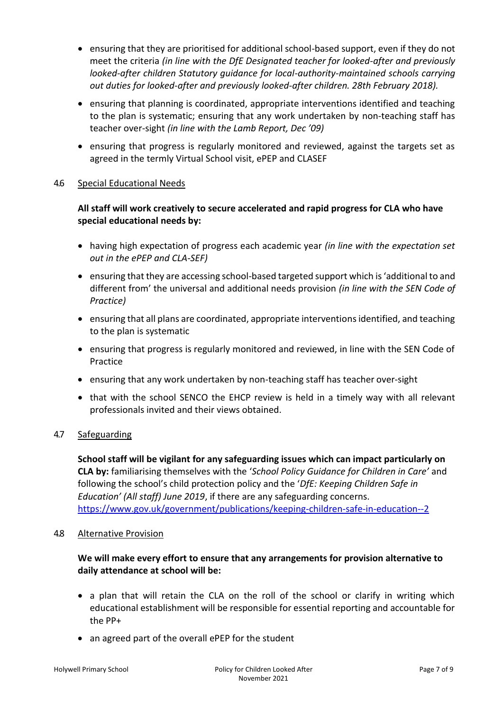- ensuring that they are prioritised for additional school-based support, even if they do not meet the criteria *(in line with the DfE Designated teacher for looked-after and previously looked-after children Statutory guidance for local-authority-maintained schools carrying out duties for looked-after and previously looked-after children. 28th February 2018).*
- ensuring that planning is coordinated, appropriate interventions identified and teaching to the plan is systematic; ensuring that any work undertaken by non-teaching staff has teacher over-sight *(in line with the Lamb Report, Dec '09)*
- ensuring that progress is regularly monitored and reviewed, against the targets set as agreed in the termly Virtual School visit, ePEP and CLASEF

#### 4.6 Special Educational Needs

# **All staff will work creatively to secure accelerated and rapid progress for CLA who have special educational needs by:**

- having high expectation of progress each academic year *(in line with the expectation set out in the ePEP and CLA-SEF)*
- ensuring that they are accessing school-based targeted support which is 'additional to and different from' the universal and additional needs provision *(in line with the SEN Code of Practice)*
- ensuring that all plans are coordinated, appropriate interventions identified, and teaching to the plan is systematic
- ensuring that progress is regularly monitored and reviewed, in line with the SEN Code of Practice
- ensuring that any work undertaken by non-teaching staff has teacher over-sight
- that with the school SENCO the EHCP review is held in a timely way with all relevant professionals invited and their views obtained.

# 4.7 Safeguarding

**School staff will be vigilant for any safeguarding issues which can impact particularly on CLA by:** familiarising themselves with the '*School Policy Guidance for Children in Care'* and following the school's child protection policy and the '*DfE: Keeping Children Safe in Education' (All staff) June 2019*, if there are any safeguarding concerns. <https://www.gov.uk/government/publications/keeping-children-safe-in-education--2>

#### 4.8 Alternative Provision

# **We will make every effort to ensure that any arrangements for provision alternative to daily attendance at school will be:**

- a plan that will retain the CLA on the roll of the school or clarify in writing which educational establishment will be responsible for essential reporting and accountable for the PP+
- an agreed part of the overall ePEP for the student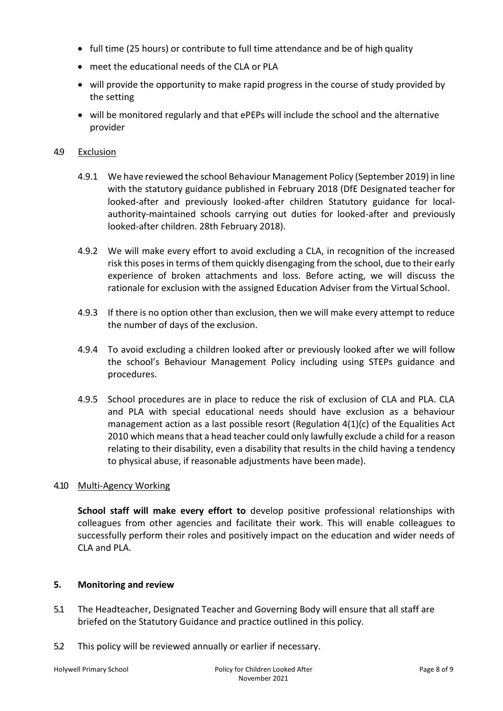- full time (25 hours) or contribute to full time attendance and be of high quality
- meet the educational needs of the CLA or PLA
- will provide the opportunity to make rapid progress in the course of study provided by the setting
- will be monitored regularly and that ePEPs will include the school and the alternative provider

#### 4.9 Exclusion

- 4.9.1 We have reviewed the school Behaviour Management Policy (September 2019) in line with the statutory guidance published in February 2018 (DfE Designated teacher for looked-after and previously looked-after children Statutory guidance for localauthority-maintained schools carrying out duties for looked-after and previously looked-after children. 28th February 2018).
- 4.9.2 We will make every effort to avoid excluding a CLA, in recognition of the increased risk this poses in terms of them quickly disengaging from the school, due to their early experience of broken attachments and loss. Before acting, we will discuss the rationale for exclusion with the assigned Education Adviser from the Virtual School.
- 4.9.3 If there is no option other than exclusion, then we will make every attempt to reduce the number of days of the exclusion.
- 4.9.4 To avoid excluding a children looked after or previously looked after we will follow the school's Behaviour Management Policy including using STEPs guidance and procedures.
- 4.9.5 School procedures are in place to reduce the risk of exclusion of CLA and PLA. CLA and PLA with special educational needs should have exclusion as a behaviour management action as a last possible resort (Regulation 4(1)(c) of the Equalities Act 2010 which means that a head teacher could only lawfully exclude a child for a reason relating to their disability, even a disability that results in the child having a tendency to physical abuse, if reasonable adjustments have been made).

#### 4.10 Multi-Agency Working

**School staff will make every effort to** develop positive professional relationships with colleagues from other agencies and facilitate their work. This will enable colleagues to successfully perform their roles and positively impact on the education and wider needs of CLA and PLA.

#### **5. Monitoring and review**

- 5.1 The Headteacher, Designated Teacher and Governing Body will ensure that all staff are briefed on the Statutory Guidance and practice outlined in this policy.
- 5.2 This policy will be reviewed annually or earlier if necessary.